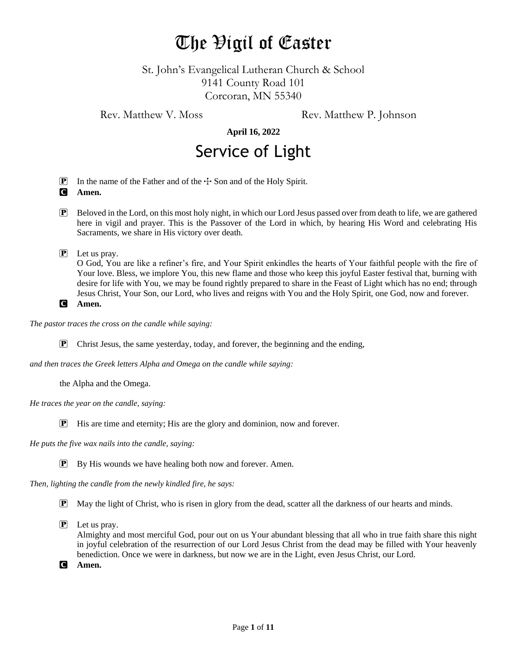# The Vigil of Easter

St. John's Evangelical Lutheran Church & School 9141 County Road 101 Corcoran, MN 55340

Rev. Matthew V. Moss Rev. Matthew P. Johnson

**April 16, 2022**

# Service of Light

**P** In the name of the Father and of the  $\pm$  Son and of the Holy Spirit.

- C **Amen.**
- P Beloved in the Lord, on this most holy night, in which our Lord Jesus passed over from death to life, we are gathered here in vigil and prayer. This is the Passover of the Lord in which, by hearing His Word and celebrating His Sacraments, we share in His victory over death.
- P Let us pray.

O God, You are like a refiner's fire, and Your Spirit enkindles the hearts of Your faithful people with the fire of Your love. Bless, we implore You, this new flame and those who keep this joyful Easter festival that, burning with desire for life with You, we may be found rightly prepared to share in the Feast of Light which has no end; through Jesus Christ, Your Son, our Lord, who lives and reigns with You and the Holy Spirit, one God, now and forever.

```
C Amen.
```
*The pastor traces the cross on the candle while saying:*

 $\mathbf{P}$  Christ Jesus, the same yesterday, today, and forever, the beginning and the ending,

*and then traces the Greek letters Alpha and Omega on the candle while saying:*

the Alpha and the Omega.

*He traces the year on the candle, saying:*

P His are time and eternity; His are the glory and dominion, now and forever.

*He puts the five wax nails into the candle, saying:*

 $\boxed{\mathbf{P}}$  By His wounds we have healing both now and forever. Amen.

*Then, lighting the candle from the newly kindled fire, he says:*

- P May the light of Christ, who is risen in glory from the dead, scatter all the darkness of our hearts and minds.
- P Let us pray.

Almighty and most merciful God, pour out on us Your abundant blessing that all who in true faith share this night in joyful celebration of the resurrection of our Lord Jesus Christ from the dead may be filled with Your heavenly benediction. Once we were in darkness, but now we are in the Light, even Jesus Christ, our Lord.

C **Amen.**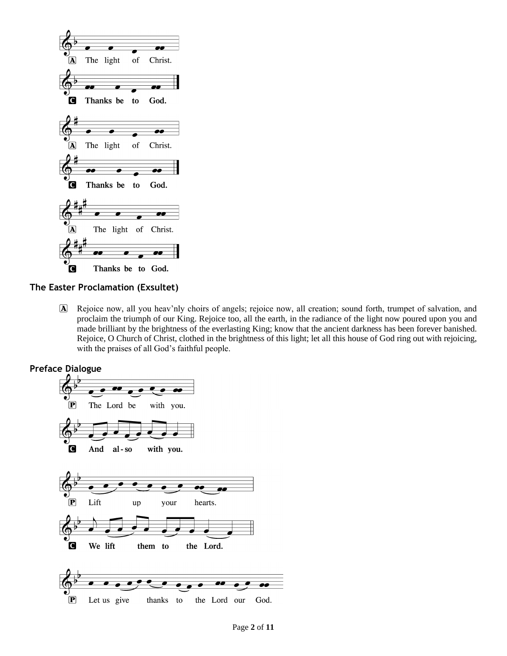

**The Easter Proclamation (Exsultet)**

A Rejoice now, all you heav'nly choirs of angels; rejoice now, all creation; sound forth, trumpet of salvation, and proclaim the triumph of our King. Rejoice too, all the earth, in the radiance of the light now poured upon you and made brilliant by the brightness of the everlasting King; know that the ancient darkness has been forever banished. Rejoice, O Church of Christ, clothed in the brightness of this light; let all this house of God ring out with rejoicing, with the praises of all God's faithful people.

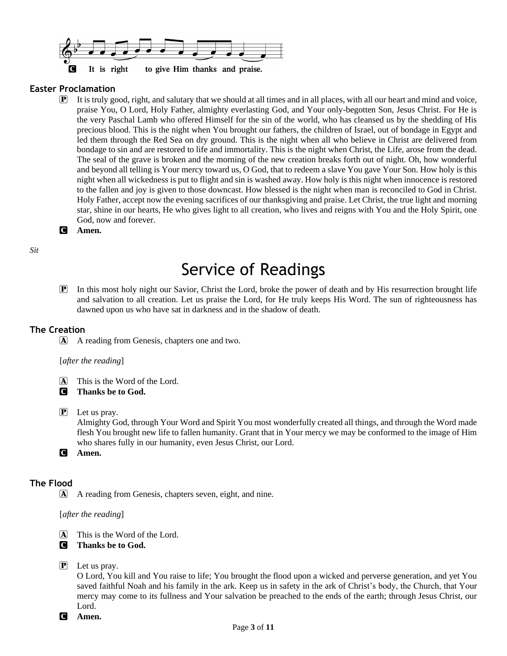

#### **Easter Proclamation**

P It is truly good, right, and salutary that we should at all times and in all places, with all our heart and mind and voice, praise You, O Lord, Holy Father, almighty everlasting God, and Your only-begotten Son, Jesus Christ. For He is the very Paschal Lamb who offered Himself for the sin of the world, who has cleansed us by the shedding of His precious blood. This is the night when You brought our fathers, the children of Israel, out of bondage in Egypt and led them through the Red Sea on dry ground. This is the night when all who believe in Christ are delivered from bondage to sin and are restored to life and immortality. This is the night when Christ, the Life, arose from the dead. The seal of the grave is broken and the morning of the new creation breaks forth out of night. Oh, how wonderful and beyond all telling is Your mercy toward us, O God, that to redeem a slave You gave Your Son. How holy is this night when all wickedness is put to flight and sin is washed away. How holy is this night when innocence is restored to the fallen and joy is given to those downcast. How blessed is the night when man is reconciled to God in Christ. Holy Father, accept now the evening sacrifices of our thanksgiving and praise. Let Christ, the true light and morning star, shine in our hearts, He who gives light to all creation, who lives and reigns with You and the Holy Spirit, one God, now and forever.

#### C **Amen.**

*Sit*

## Service of Readings

P In this most holy night our Savior, Christ the Lord, broke the power of death and by His resurrection brought life and salvation to all creation. Let us praise the Lord, for He truly keeps His Word. The sun of righteousness has dawned upon us who have sat in darkness and in the shadow of death.

#### **The Creation**

A A reading from Genesis, chapters one and two.

#### [*after the reading*]

- A This is the Word of the Lord.
- C **Thanks be to God.**

#### $\boxed{\mathbf{P}}$  Let us pray.

Almighty God, through Your Word and Spirit You most wonderfully created all things, and through the Word made flesh You brought new life to fallen humanity. Grant that in Your mercy we may be conformed to the image of Him who shares fully in our humanity, even Jesus Christ, our Lord.

C **Amen.**

#### **The Flood**

A A reading from Genesis, chapters seven, eight, and nine.

#### [*after the reading*]

- [A] This is the Word of the Lord.
- C **Thanks be to God.**
- $\left| \mathbf{P} \right|$  Let us pray.

O Lord, You kill and You raise to life; You brought the flood upon a wicked and perverse generation, and yet You saved faithful Noah and his family in the ark. Keep us in safety in the ark of Christ's body, the Church, that Your mercy may come to its fullness and Your salvation be preached to the ends of the earth; through Jesus Christ, our Lord.

C **Amen.**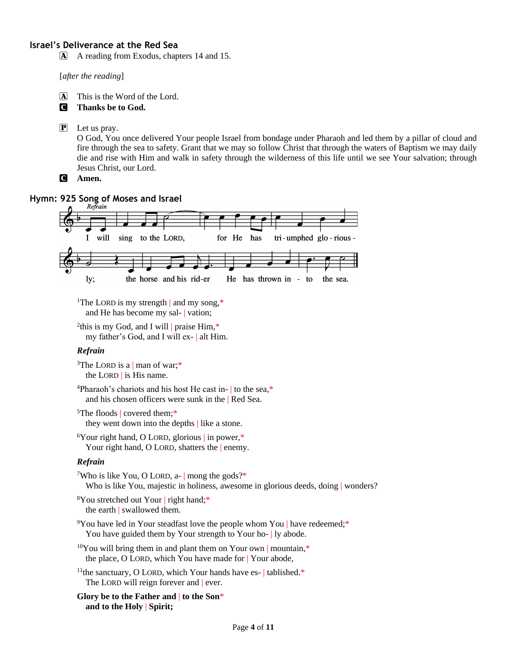#### **Israel's Deliverance at the Red Sea**

A A reading from Exodus, chapters 14 and 15.

[*after the reading*]

- A This is the Word of the Lord.
- C **Thanks be to God.**
- P Let us pray.

O God, You once delivered Your people Israel from bondage under Pharaoh and led them by a pillar of cloud and fire through the sea to safety. Grant that we may so follow Christ that through the waters of Baptism we may daily die and rise with Him and walk in safety through the wilderness of this life until we see Your salvation; through Jesus Christ, our Lord.

C **Amen.**

### **Hymn: 925 Song of Moses and Israel**



<sup>1</sup>The LORD is my strength | and my song, $*$ and He has become my sal- | vation;

<sup>2</sup>this is my God, and I will | praise Him,\* my father's God, and I will ex- | alt Him.

#### *Refrain*

<sup>3</sup>The LORD is a | man of war;<sup>\*</sup> the LORD | is His name.

 $4P$ haraoh's chariots and his host He cast in- to the sea. $*$ and his chosen officers were sunk in the | Red Sea.

<sup>5</sup>The floods | covered them;\* they went down into the depths | like a stone.

<sup>6</sup>Your right hand, O LORD, glorious | in power,\* Your right hand, O LORD, shatters the enemy.

#### *Refrain*

<sup>7</sup>Who is like You, O LORD, a- | mong the gods?\* Who is like You, majestic in holiness, awesome in glorious deeds, doing | wonders?

<sup>8</sup>You stretched out Your | right hand;<sup>\*</sup> the earth | swallowed them.

 $9$ You have led in Your steadfast love the people whom You | have redeemed;\* You have guided them by Your strength to Your ho- | ly abode.

```
10You will bring them in and plant them on Your own | mountain,*
the place, O LORD, which You have made for | Your abode,
```

```
<sup>11</sup>the sanctuary, O LORD, which Your hands have es-\vert tablished.*
The LORD will reign forever and ever.
```

```
Glory be to the Father and | to the Son*
and to the Holy | Spirit;
```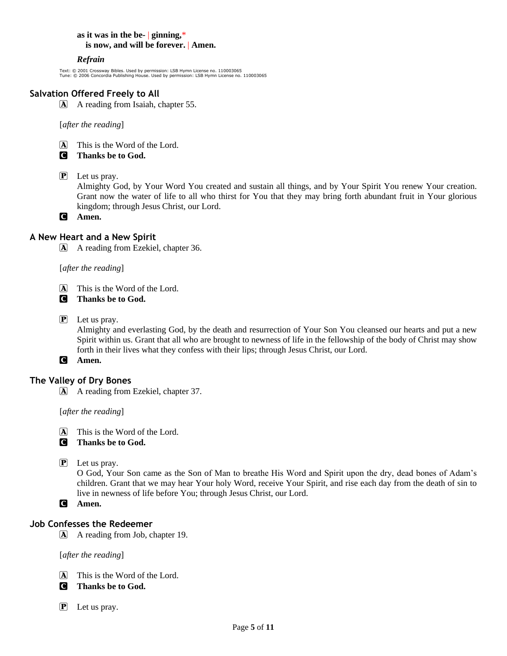#### **as it was in the be-** | **ginning,**\* **is now, and will be forever.** | **Amen.**

#### *Refrain*

Text: © 2001 Crossway Bibles. Used by permission: LSB Hymn License no. 110003065 Tune: © 2006 Concordia Publishing House. Used by permission: LSB Hymn License no. 110003065

#### **Salvation Offered Freely to All**

A A reading from Isaiah, chapter 55.

[*after the reading*]

A This is the Word of the Lord.

C **Thanks be to God.**

 $\overline{P}$  Let us pray.

Almighty God, by Your Word You created and sustain all things, and by Your Spirit You renew Your creation. Grant now the water of life to all who thirst for You that they may bring forth abundant fruit in Your glorious kingdom; through Jesus Christ, our Lord.

C **Amen.**

#### **A New Heart and a New Spirit**

A A reading from Ezekiel, chapter 36.

[*after the reading*]

A This is the Word of the Lord.

C **Thanks be to God.**

P Let us pray.

Almighty and everlasting God, by the death and resurrection of Your Son You cleansed our hearts and put a new Spirit within us. Grant that all who are brought to newness of life in the fellowship of the body of Christ may show forth in their lives what they confess with their lips; through Jesus Christ, our Lord.

C **Amen.**

#### **The Valley of Dry Bones**

A A reading from Ezekiel, chapter 37.

[*after the reading*]

A This is the Word of the Lord.

C **Thanks be to God.**

P Let us pray.

O God, Your Son came as the Son of Man to breathe His Word and Spirit upon the dry, dead bones of Adam's children. Grant that we may hear Your holy Word, receive Your Spirit, and rise each day from the death of sin to live in newness of life before You; through Jesus Christ, our Lord.

C **Amen.**

#### **Job Confesses the Redeemer**

A A reading from Job, chapter 19.

[*after the reading*]

- A This is the Word of the Lord.
- C **Thanks be to God.**
- $\left| \mathbf{P} \right|$  Let us pray.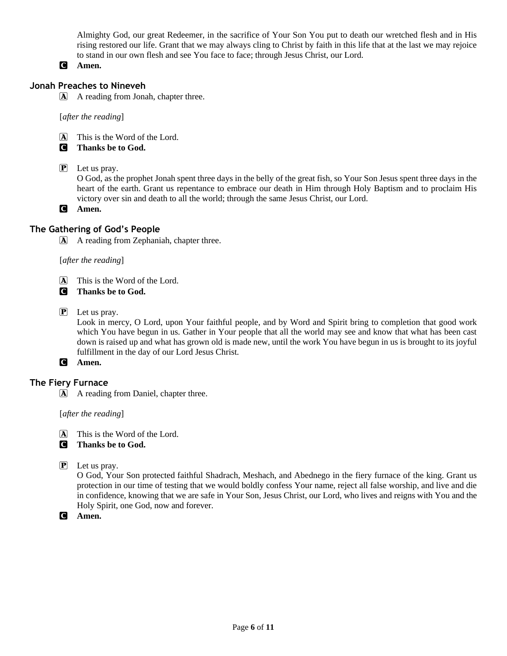Almighty God, our great Redeemer, in the sacrifice of Your Son You put to death our wretched flesh and in His rising restored our life. Grant that we may always cling to Christ by faith in this life that at the last we may rejoice to stand in our own flesh and see You face to face; through Jesus Christ, our Lord.

#### C **Amen.**

#### **Jonah Preaches to Nineveh**

A A reading from Jonah, chapter three.

[*after the reading*]

- A This is the Word of the Lord.
- C **Thanks be to God.**
- P Let us pray.

O God, as the prophet Jonah spent three days in the belly of the great fish, so Your Son Jesus spent three days in the heart of the earth. Grant us repentance to embrace our death in Him through Holy Baptism and to proclaim His victory over sin and death to all the world; through the same Jesus Christ, our Lord.

C **Amen.**

#### **The Gathering of God's People**

A A reading from Zephaniah, chapter three.

#### [*after the reading*]

- A This is the Word of the Lord.
- C **Thanks be to God.**
- P Let us pray.

Look in mercy, O Lord, upon Your faithful people, and by Word and Spirit bring to completion that good work which You have begun in us. Gather in Your people that all the world may see and know that what has been cast down is raised up and what has grown old is made new, until the work You have begun in us is brought to its joyful fulfillment in the day of our Lord Jesus Christ.

C **Amen.**

#### **The Fiery Furnace**

A A reading from Daniel, chapter three.

[*after the reading*]

- A This is the Word of the Lord.
- C **Thanks be to God.**
- P Let us pray.

O God, Your Son protected faithful Shadrach, Meshach, and Abednego in the fiery furnace of the king. Grant us protection in our time of testing that we would boldly confess Your name, reject all false worship, and live and die in confidence, knowing that we are safe in Your Son, Jesus Christ, our Lord, who lives and reigns with You and the Holy Spirit, one God, now and forever.

C **Amen.**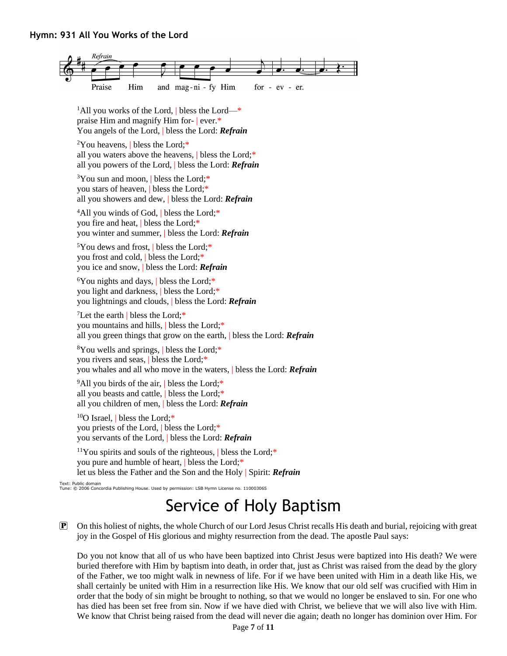#### **Hymn: 931 All You Works of the Lord**



<sup>1</sup>All you works of the Lord, bless the Lord— $*$ praise Him and magnify Him for- | ever.\* You angels of the Lord, | bless the Lord: *Refrain*

<sup>2</sup>You heavens, | bless the Lord;\* all you waters above the heavens, | bless the Lord;\* all you powers of the Lord, | bless the Lord: *Refrain*

 $3$ You sun and moon, bless the Lord;\* you stars of heaven, | bless the Lord;\* all you showers and dew, | bless the Lord: *Refrain*

<sup>4</sup>All you winds of God, bless the Lord;\* you fire and heat, | bless the Lord;\* you winter and summer, | bless the Lord: *Refrain*

<sup>5</sup>You dews and frost, | bless the Lord;\* you frost and cold, | bless the Lord;\* you ice and snow, | bless the Lord: *Refrain*

 $6$ You nights and days, bless the Lord;\* you light and darkness, | bless the Lord;\* you lightnings and clouds, | bless the Lord: *Refrain*

<sup>7</sup>Let the earth | bless the Lord; $*$ you mountains and hills, | bless the Lord;\* all you green things that grow on the earth, | bless the Lord: *Refrain*

<sup>8</sup>You wells and springs, | bless the Lord;\* you rivers and seas, | bless the Lord;\* you whales and all who move in the waters, | bless the Lord: *Refrain*

 $9$ All you birds of the air, bless the Lord;\* all you beasts and cattle, | bless the Lord;\* all you children of men, | bless the Lord: *Refrain*

 $10<sup>10</sup>$ O Israel, bless the Lord;\* you priests of the Lord, | bless the Lord;\* you servants of the Lord, | bless the Lord: *Refrain*

<sup>11</sup>You spirits and souls of the righteous,  $\vert$  bless the Lord;\* you pure and humble of heart, | bless the Lord;\* let us bless the Father and the Son and the Holy | Spirit: *Refrain*

Text: Public domain Tune: © 2006 Concordia Publishing House. Used by permission: LSB Hymn License no. 110003065

# Service of Holy Baptism

P On this holiest of nights, the whole Church of our Lord Jesus Christ recalls His death and burial, rejoicing with great joy in the Gospel of His glorious and mighty resurrection from the dead. The apostle Paul says:

Do you not know that all of us who have been baptized into Christ Jesus were baptized into His death? We were buried therefore with Him by baptism into death, in order that, just as Christ was raised from the dead by the glory of the Father, we too might walk in newness of life. For if we have been united with Him in a death like His, we shall certainly be united with Him in a resurrection like His. We know that our old self was crucified with Him in order that the body of sin might be brought to nothing, so that we would no longer be enslaved to sin. For one who has died has been set free from sin. Now if we have died with Christ, we believe that we will also live with Him. We know that Christ being raised from the dead will never die again; death no longer has dominion over Him. For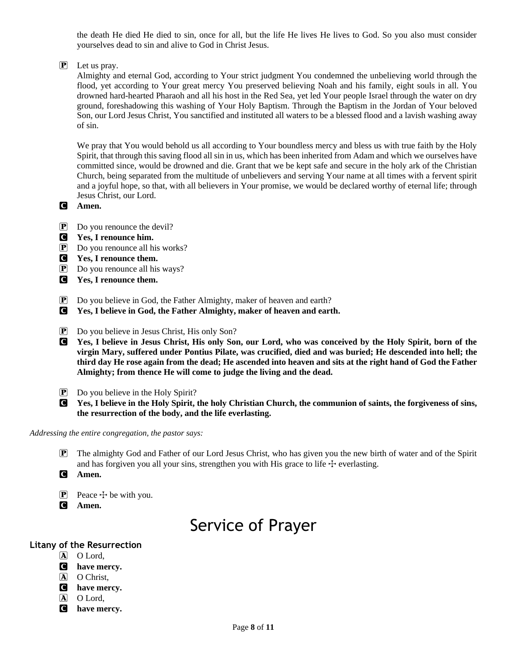the death He died He died to sin, once for all, but the life He lives He lives to God. So you also must consider yourselves dead to sin and alive to God in Christ Jesus.

#### $\mathbf{P}$  Let us pray.

Almighty and eternal God, according to Your strict judgment You condemned the unbelieving world through the flood, yet according to Your great mercy You preserved believing Noah and his family, eight souls in all. You drowned hard-hearted Pharaoh and all his host in the Red Sea, yet led Your people Israel through the water on dry ground, foreshadowing this washing of Your Holy Baptism. Through the Baptism in the Jordan of Your beloved Son, our Lord Jesus Christ, You sanctified and instituted all waters to be a blessed flood and a lavish washing away of sin.

We pray that You would behold us all according to Your boundless mercy and bless us with true faith by the Holy Spirit, that through this saving flood all sin in us, which has been inherited from Adam and which we ourselves have committed since, would be drowned and die. Grant that we be kept safe and secure in the holy ark of the Christian Church, being separated from the multitude of unbelievers and serving Your name at all times with a fervent spirit and a joyful hope, so that, with all believers in Your promise, we would be declared worthy of eternal life; through Jesus Christ, our Lord.

- C **Amen.**
- P Do you renounce the devil?
- C **Yes, I renounce him.**
- P Do you renounce all his works?
- C **Yes, I renounce them.**
- P Do you renounce all his ways?
- C **Yes, I renounce them.**
- P Do you believe in God, the Father Almighty, maker of heaven and earth?
- C **Yes, I believe in God, the Father Almighty, maker of heaven and earth.**
- P Do you believe in Jesus Christ, His only Son?
- C **Yes, I believe in Jesus Christ, His only Son, our Lord, who was conceived by the Holy Spirit, born of the virgin Mary, suffered under Pontius Pilate, was crucified, died and was buried; He descended into hell; the third day He rose again from the dead; He ascended into heaven and sits at the right hand of God the Father Almighty; from thence He will come to judge the living and the dead.**
- **P** Do you believe in the Holy Spirit?
- C **Yes, I believe in the Holy Spirit, the holy Christian Church, the communion of saints, the forgiveness of sins, the resurrection of the body, and the life everlasting.**

#### *Addressing the entire congregation, the pastor says:*

- P The almighty God and Father of our Lord Jesus Christ, who has given you the new birth of water and of the Spirit and has forgiven you all your sins, strengthen you with His grace to life  $+$  everlasting.
- C **Amen.**
- **P** Peace  $\pm$  be with you.
- C **Amen.**

### Service of Prayer

#### **Litany of the Resurrection**

- A O Lord,
- C **have mercy.**
- A O Christ,
- C **have mercy.**
- A O Lord,
- C **have mercy.**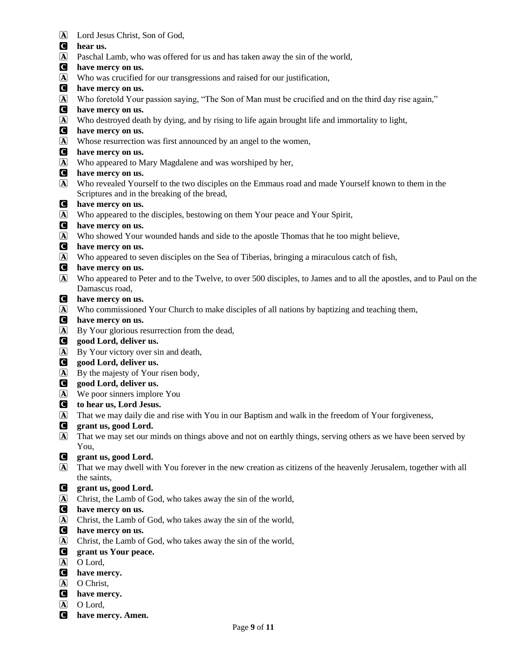- A Lord Jesus Christ, Son of God,
- C **hear us.**
- A Paschal Lamb, who was offered for us and has taken away the sin of the world,
- C **have mercy on us.**
- A Who was crucified for our transgressions and raised for our justification,
- C **have mercy on us.**
- A Who foretold Your passion saying, "The Son of Man must be crucified and on the third day rise again,"
- C **have mercy on us.**
- A Who destroyed death by dying, and by rising to life again brought life and immortality to light,
- C **have mercy on us.**
- A Whose resurrection was first announced by an angel to the women,
- C **have mercy on us.**
- A Who appeared to Mary Magdalene and was worshiped by her,
- C **have mercy on us.**
- A Who revealed Yourself to the two disciples on the Emmaus road and made Yourself known to them in the Scriptures and in the breaking of the bread,
- C **have mercy on us.**
- A Who appeared to the disciples, bestowing on them Your peace and Your Spirit,
- C **have mercy on us.**
- A Who showed Your wounded hands and side to the apostle Thomas that he too might believe,
- C **have mercy on us.**
- A Who appeared to seven disciples on the Sea of Tiberias, bringing a miraculous catch of fish,
- C **have mercy on us.**
- A Who appeared to Peter and to the Twelve, to over 500 disciples, to James and to all the apostles, and to Paul on the Damascus road,
- C **have mercy on us.**
- A Who commissioned Your Church to make disciples of all nations by baptizing and teaching them,
- C **have mercy on us.**
- A By Your glorious resurrection from the dead,
- C **good Lord, deliver us.**
- A By Your victory over sin and death,
- C **good Lord, deliver us.**
- A By the majesty of Your risen body,
- C **good Lord, deliver us.**
- A We poor sinners implore You
- C **to hear us, Lord Jesus.**
- A That we may daily die and rise with You in our Baptism and walk in the freedom of Your forgiveness,
- C **grant us, good Lord.**
- A That we may set our minds on things above and not on earthly things, serving others as we have been served by You,

#### C **grant us, good Lord.**

- A That we may dwell with You forever in the new creation as citizens of the heavenly Jerusalem, together with all the saints,
- C **grant us, good Lord.**
- A Christ, the Lamb of God, who takes away the sin of the world,
- C **have mercy on us.**
- A Christ, the Lamb of God, who takes away the sin of the world,
- C **have mercy on us.**
- A Christ, the Lamb of God, who takes away the sin of the world,
- C **grant us Your peace.**
- A O Lord,
- C **have mercy.**
- A O Christ,
- C **have mercy.**
- A O Lord,
- C **have mercy. Amen.**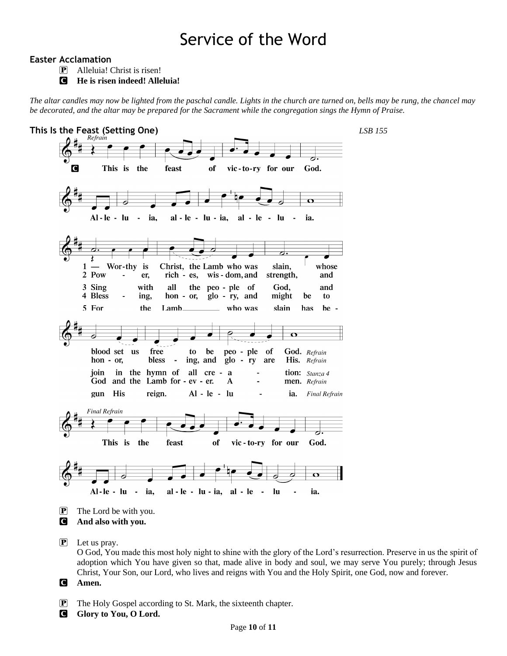## Service of the Word

#### **Easter Acclamation**

P Alleluia! Christ is risen!

C **He is risen indeed! Alleluia!**

*The altar candles may now be lighted from the paschal candle. Lights in the church are turned on, bells may be rung, the chancel may be decorated, and the altar may be prepared for the Sacrament while the congregation sings the Hymn of Praise.*



**P** Let us pray.

O God, You made this most holy night to shine with the glory of the Lord's resurrection. Preserve in us the spirit of adoption which You have given so that, made alive in body and soul, we may serve You purely; through Jesus Christ, Your Son, our Lord, who lives and reigns with You and the Holy Spirit, one God, now and forever.

C **Amen.**

- P The Holy Gospel according to St. Mark, the sixteenth chapter.
- **G** Glory to You, O Lord.